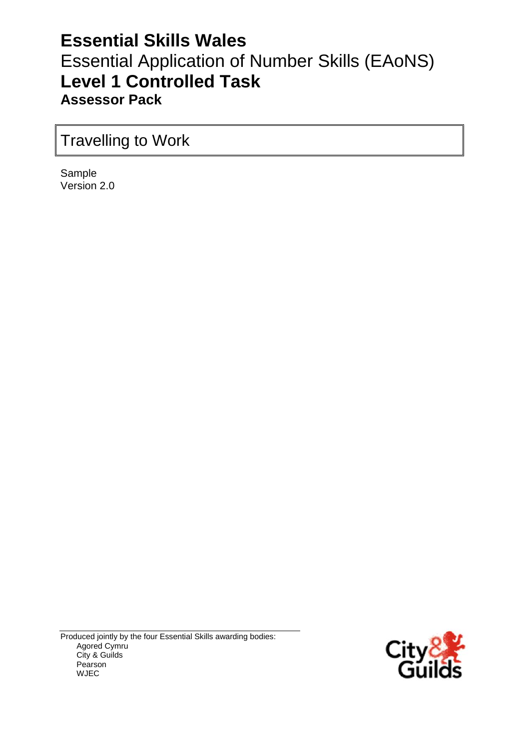# **Essential Skills Wales** Essential Application of Number Skills (EAoNS) **Level 1 Controlled Task Assessor Pack**

# Travelling to Work

Sample Version 2.0

Produced jointly by the four Essential Skills awarding bodies: Agored Cymru City & Guilds Pearson WJEC

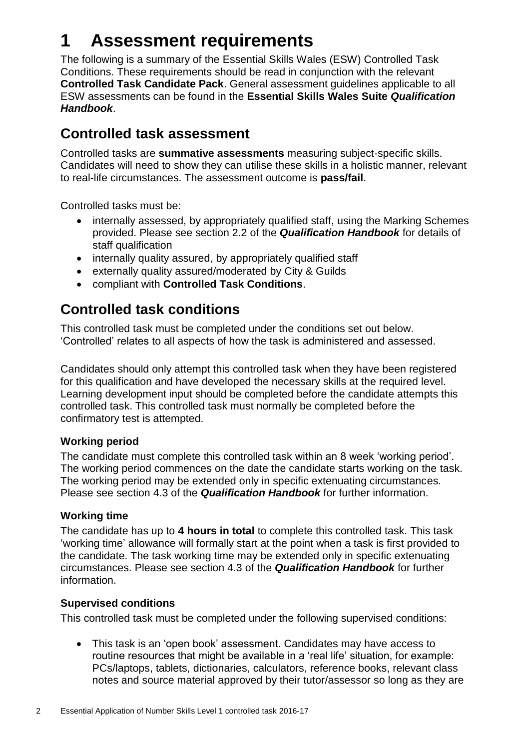# **1 Assessment requirements**

The following is a summary of the Essential Skills Wales (ESW) Controlled Task Conditions. These requirements should be read in conjunction with the relevant **Controlled Task Candidate Pack**. General assessment guidelines applicable to all ESW assessments can be found in the **Essential Skills Wales Suite** *Qualification Handbook*.

## **Controlled task assessment**

Controlled tasks are **summative assessments** measuring subject-specific skills. Candidates will need to show they can utilise these skills in a holistic manner, relevant to real-life circumstances. The assessment outcome is **pass/fail**.

Controlled tasks must be:

- internally assessed, by appropriately qualified staff, using the Marking Schemes provided. Please see section 2.2 of the *Qualification Handbook* for details of staff qualification
- internally quality assured, by appropriately qualified staff
- externally quality assured/moderated by City & Guilds
- compliant with **Controlled Task Conditions**.

## **Controlled task conditions**

This controlled task must be completed under the conditions set out below. 'Controlled' relates to all aspects of how the task is administered and assessed.

Candidates should only attempt this controlled task when they have been registered for this qualification and have developed the necessary skills at the required level. Learning development input should be completed before the candidate attempts this controlled task. This controlled task must normally be completed before the confirmatory test is attempted.

### **Working period**

The candidate must complete this controlled task within an 8 week 'working period'. The working period commences on the date the candidate starts working on the task. The working period may be extended only in specific extenuating circumstances. Please see section 4.3 of the *Qualification Handbook* for further information.

### **Working time**

The candidate has up to **4 hours in total** to complete this controlled task. This task 'working time' allowance will formally start at the point when a task is first provided to the candidate. The task working time may be extended only in specific extenuating circumstances. Please see section 4.3 of the *Qualification Handbook* for further information.

### **Supervised conditions**

This controlled task must be completed under the following supervised conditions:

 This task is an 'open book' assessment. Candidates may have access to routine resources that might be available in a 'real life' situation, for example: PCs/laptops, tablets, dictionaries, calculators, reference books, relevant class notes and source material approved by their tutor/assessor so long as they are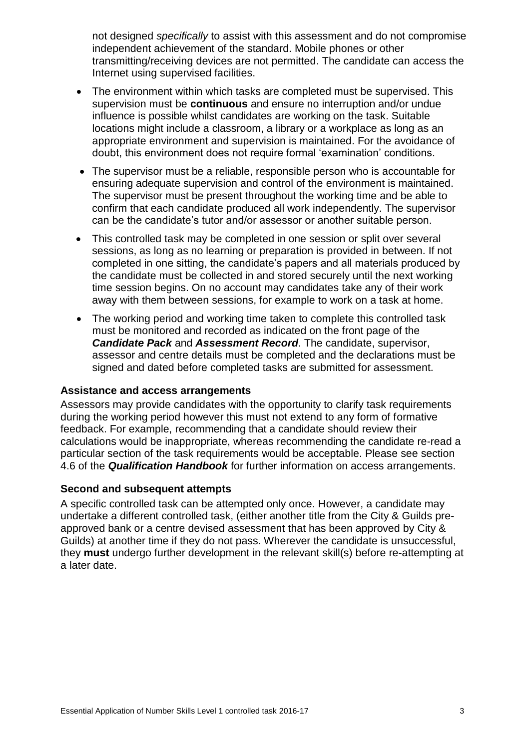not designed *specifically* to assist with this assessment and do not compromise independent achievement of the standard. Mobile phones or other transmitting/receiving devices are not permitted. The candidate can access the Internet using supervised facilities.

- The environment within which tasks are completed must be supervised. This supervision must be **continuous** and ensure no interruption and/or undue influence is possible whilst candidates are working on the task. Suitable locations might include a classroom, a library or a workplace as long as an appropriate environment and supervision is maintained. For the avoidance of doubt, this environment does not require formal 'examination' conditions.
- The supervisor must be a reliable, responsible person who is accountable for ensuring adequate supervision and control of the environment is maintained. The supervisor must be present throughout the working time and be able to confirm that each candidate produced all work independently. The supervisor can be the candidate's tutor and/or assessor or another suitable person.
- This controlled task may be completed in one session or split over several sessions, as long as no learning or preparation is provided in between. If not completed in one sitting, the candidate's papers and all materials produced by the candidate must be collected in and stored securely until the next working time session begins. On no account may candidates take any of their work away with them between sessions, for example to work on a task at home.
- The working period and working time taken to complete this controlled task must be monitored and recorded as indicated on the front page of the *Candidate Pack* and *Assessment Record*. The candidate, supervisor, assessor and centre details must be completed and the declarations must be signed and dated before completed tasks are submitted for assessment.

#### **Assistance and access arrangements**

Assessors may provide candidates with the opportunity to clarify task requirements during the working period however this must not extend to any form of formative feedback. For example, recommending that a candidate should review their calculations would be inappropriate, whereas recommending the candidate re-read a particular section of the task requirements would be acceptable. Please see section 4.6 of the *Qualification Handbook* for further information on access arrangements.

#### **Second and subsequent attempts**

A specific controlled task can be attempted only once. However, a candidate may undertake a different controlled task, (either another title from the City & Guilds preapproved bank or a centre devised assessment that has been approved by City & Guilds) at another time if they do not pass. Wherever the candidate is unsuccessful, they **must** undergo further development in the relevant skill(s) before re-attempting at a later date.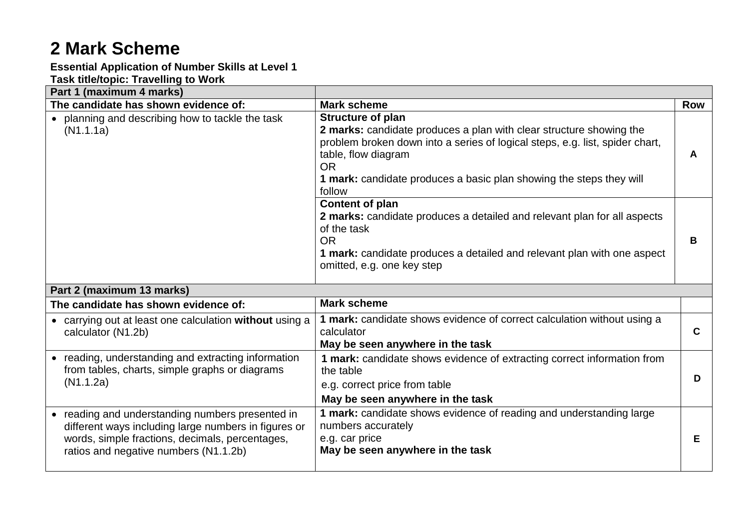# **2 Mark Scheme**

## **Essential Application of Number Skills at Level 1**

### **Task title/topic: Travelling to Work**

| Part 1 (maximum 4 marks)                                                                                                                                                                             |                                                                                                                                                                                                                                                                                                      |            |
|------------------------------------------------------------------------------------------------------------------------------------------------------------------------------------------------------|------------------------------------------------------------------------------------------------------------------------------------------------------------------------------------------------------------------------------------------------------------------------------------------------------|------------|
| The candidate has shown evidence of:                                                                                                                                                                 | <b>Mark scheme</b>                                                                                                                                                                                                                                                                                   | <b>Row</b> |
| • planning and describing how to tackle the task<br>(N1.1.1a)                                                                                                                                        | <b>Structure of plan</b><br>2 marks: candidate produces a plan with clear structure showing the<br>problem broken down into a series of logical steps, e.g. list, spider chart,<br>table, flow diagram<br><b>OR</b><br>1 mark: candidate produces a basic plan showing the steps they will<br>follow | A          |
|                                                                                                                                                                                                      | Content of plan<br>2 marks: candidate produces a detailed and relevant plan for all aspects<br>of the task<br><b>OR</b><br>1 mark: candidate produces a detailed and relevant plan with one aspect<br>omitted, e.g. one key step                                                                     | B          |
| Part 2 (maximum 13 marks)                                                                                                                                                                            |                                                                                                                                                                                                                                                                                                      |            |
| The candidate has shown evidence of:                                                                                                                                                                 | <b>Mark scheme</b>                                                                                                                                                                                                                                                                                   |            |
| • carrying out at least one calculation without using a<br>calculator (N1.2b)                                                                                                                        | 1 mark: candidate shows evidence of correct calculation without using a<br>calculator<br>May be seen anywhere in the task                                                                                                                                                                            | C          |
| • reading, understanding and extracting information<br>from tables, charts, simple graphs or diagrams<br>(N1.1.2a)                                                                                   | 1 mark: candidate shows evidence of extracting correct information from<br>the table<br>e.g. correct price from table<br>May be seen anywhere in the task                                                                                                                                            | D          |
| • reading and understanding numbers presented in<br>different ways including large numbers in figures or<br>words, simple fractions, decimals, percentages,<br>ratios and negative numbers (N1.1.2b) | 1 mark: candidate shows evidence of reading and understanding large<br>numbers accurately<br>e.g. car price<br>May be seen anywhere in the task                                                                                                                                                      | Е          |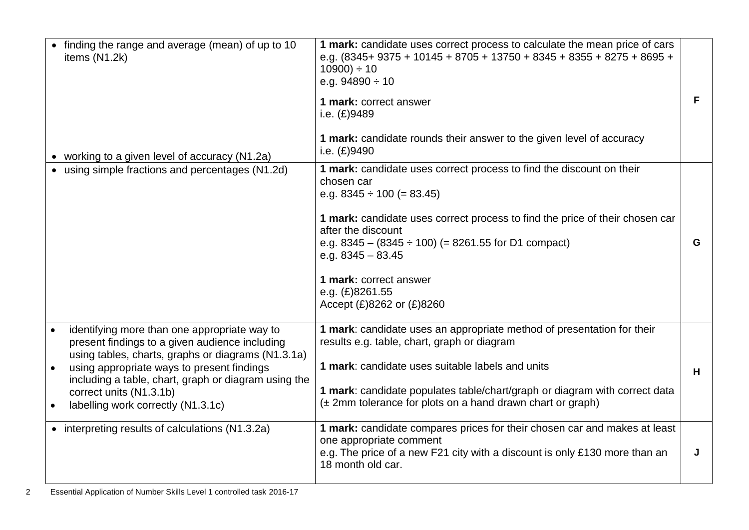| • finding the range and average (mean) of up to 10<br>items (N1.2k)<br>• working to a given level of accuracy (N1.2a)                                                                                                                                                                                                       | 1 mark: candidate uses correct process to calculate the mean price of cars<br>e.g. $(8345+9375+10145+8705+13750+8345+8355+8275+8695+$<br>$10900$ ÷ 10<br>e.g. $94890 \div 10$<br>1 mark: correct answer<br>i.e. $(E)9489$<br>1 mark: candidate rounds their answer to the given level of accuracy<br>i.e. (£)9490                                                                       | F |
|-----------------------------------------------------------------------------------------------------------------------------------------------------------------------------------------------------------------------------------------------------------------------------------------------------------------------------|-----------------------------------------------------------------------------------------------------------------------------------------------------------------------------------------------------------------------------------------------------------------------------------------------------------------------------------------------------------------------------------------|---|
| • using simple fractions and percentages (N1.2d)                                                                                                                                                                                                                                                                            | 1 mark: candidate uses correct process to find the discount on their<br>chosen car<br>e.g. $8345 \div 100 (= 83.45)$<br>1 mark: candidate uses correct process to find the price of their chosen car<br>after the discount<br>e.g. $8345 - (8345 \div 100)$ (= 8261.55 for D1 compact)<br>e.g. $8345 - 83.45$<br>1 mark: correct answer<br>e.g. (£)8261.55<br>Accept (£)8262 or (£)8260 | G |
| identifying more than one appropriate way to<br>present findings to a given audience including<br>using tables, charts, graphs or diagrams (N1.3.1a)<br>using appropriate ways to present findings<br>including a table, chart, graph or diagram using the<br>correct units (N1.3.1b)<br>labelling work correctly (N1.3.1c) | 1 mark: candidate uses an appropriate method of presentation for their<br>results e.g. table, chart, graph or diagram<br>1 mark: candidate uses suitable labels and units<br>1 mark: candidate populates table/chart/graph or diagram with correct data<br>(± 2mm tolerance for plots on a hand drawn chart or graph)                                                                   | H |
| • interpreting results of calculations (N1.3.2a)                                                                                                                                                                                                                                                                            | 1 mark: candidate compares prices for their chosen car and makes at least<br>one appropriate comment<br>e.g. The price of a new F21 city with a discount is only £130 more than an<br>18 month old car.                                                                                                                                                                                 | J |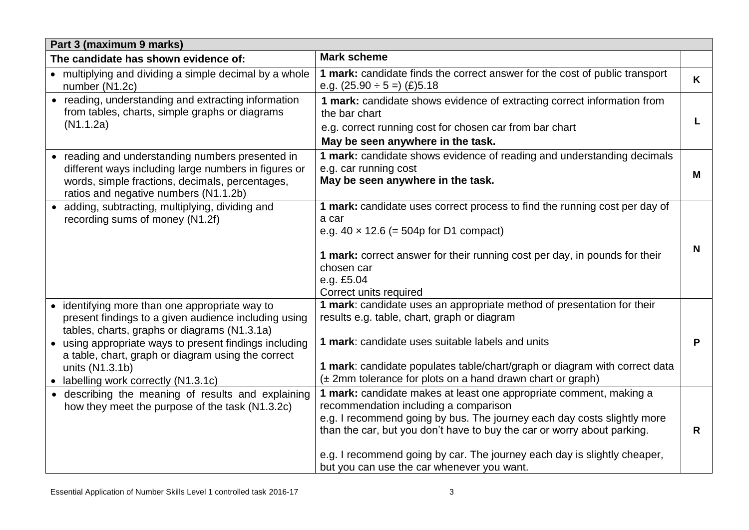| Part 3 (maximum 9 marks)                                                                                                                                                                                                                                                                                                          |                                                                                                                                                                                                                                                                                                                                                                                             |   |  |  |
|-----------------------------------------------------------------------------------------------------------------------------------------------------------------------------------------------------------------------------------------------------------------------------------------------------------------------------------|---------------------------------------------------------------------------------------------------------------------------------------------------------------------------------------------------------------------------------------------------------------------------------------------------------------------------------------------------------------------------------------------|---|--|--|
| The candidate has shown evidence of:                                                                                                                                                                                                                                                                                              | <b>Mark scheme</b>                                                                                                                                                                                                                                                                                                                                                                          |   |  |  |
| • multiplying and dividing a simple decimal by a whole<br>number (N1.2c)                                                                                                                                                                                                                                                          | 1 mark: candidate finds the correct answer for the cost of public transport<br>e.g. $(25.90 \div 5)$ (£)5.18                                                                                                                                                                                                                                                                                | K |  |  |
| • reading, understanding and extracting information<br>from tables, charts, simple graphs or diagrams<br>(N1.1.2a)                                                                                                                                                                                                                | 1 mark: candidate shows evidence of extracting correct information from<br>the bar chart<br>e.g. correct running cost for chosen car from bar chart<br>May be seen anywhere in the task.                                                                                                                                                                                                    |   |  |  |
| reading and understanding numbers presented in<br>different ways including large numbers in figures or<br>words, simple fractions, decimals, percentages,<br>ratios and negative numbers (N1.1.2b)                                                                                                                                | 1 mark: candidate shows evidence of reading and understanding decimals<br>e.g. car running cost<br>May be seen anywhere in the task.                                                                                                                                                                                                                                                        | M |  |  |
| • adding, subtracting, multiplying, dividing and<br>recording sums of money (N1.2f)                                                                                                                                                                                                                                               | 1 mark: candidate uses correct process to find the running cost per day of<br>a car<br>e.g. $40 \times 12.6$ (= 504p for D1 compact)<br>1 mark: correct answer for their running cost per day, in pounds for their<br>chosen car<br>e.g. £5.04<br>Correct units required                                                                                                                    | N |  |  |
| • identifying more than one appropriate way to<br>present findings to a given audience including using<br>tables, charts, graphs or diagrams (N1.3.1a)<br>• using appropriate ways to present findings including<br>a table, chart, graph or diagram using the correct<br>units (N1.3.1b)<br>• labelling work correctly (N1.3.1c) | 1 mark: candidate uses an appropriate method of presentation for their<br>results e.g. table, chart, graph or diagram<br>1 mark: candidate uses suitable labels and units<br>1 mark: candidate populates table/chart/graph or diagram with correct data<br>(± 2mm tolerance for plots on a hand drawn chart or graph)                                                                       | P |  |  |
| • describing the meaning of results and explaining<br>how they meet the purpose of the task (N1.3.2c)                                                                                                                                                                                                                             | 1 mark: candidate makes at least one appropriate comment, making a<br>recommendation including a comparison<br>e.g. I recommend going by bus. The journey each day costs slightly more<br>than the car, but you don't have to buy the car or worry about parking.<br>e.g. I recommend going by car. The journey each day is slightly cheaper,<br>but you can use the car whenever you want. | R |  |  |